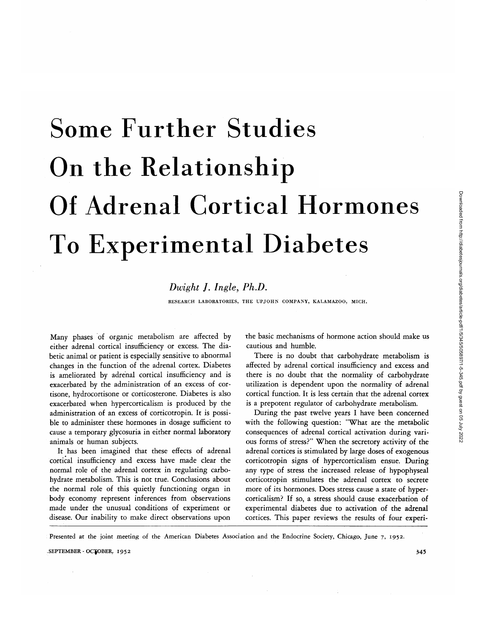# Some Further Studies On the Relationship Of Adrenal Cortical Hormones To Experimental Diabetes

# *Dwight J. Ingle, Ph.D.*

RESEARCH LABORATORIES, THE UPJOHN COMPANY, KALAMAZOO, MICH.

Many phases of organic metabolism are affected by either adrenal cortical insufficiency or excess. The diabetic animal or patient is especially sensitive to abnormal changes in the function of the adrenal cortex. Diabetes is ameliorated by adrenal cortical insufficiency and is exacerbated by the administration of an excess of cortisone, hydrocortisone or corticosterone. Diabetes is also exacerbated when hypercorticalism is produced by the administration of an excess of corticotropin. It is possible to administer these hormones in dosage sufficient to cause a temporary glycosuria in either normal laboratory animals or human subjects.

It has been imagined that these effects of adrenal cortical insufficiency and excess have made clear the normal role of the adrenal cortex in regulating carbohydrate metabolism. This is not true. Conclusions about the normal role of this quietly functioning organ in body economy represent inferences from observations made under the unusual conditions of experiment or disease. Our inability to make direct observations upon

the basic mechanisms of hormone action should make us cautious and humble.

There is no doubt that carbohydrate metabolism is affected by adrenal cortical insufficiency and excess and there is no doubt that the normality of carbohydrate utilization is dependent upon the normality of adrenal cortical function. It is less certain that the adrenal cortex is a prepotent regulator of carbohydrate metabolism.

During the past twelve years I have been concerned with the following question: "What are the metabolic consequences of adrenal cortical activation during various forms of stress?" When the secretory activity of the adrenal cortices is stimulated by large doses of exogenous corticotropin signs of hypercorticalism ensue. During any type of stress the increased release of hypophyseal corticotropin stimulates the adrenal cortex to secrete more of its hormones. Does stress cause a state of hypercorticalism? If so, a stress should cause exacerbation of experimental diabetes due to activation of the adrenal cortices. This paper reviews the results of four experi-

Presented at the joint meeting of the American Diabetes Association and the Endocrine Society, Chicago, June 7, 1952.

SEPTEMBER - OCTOBER, 1952 345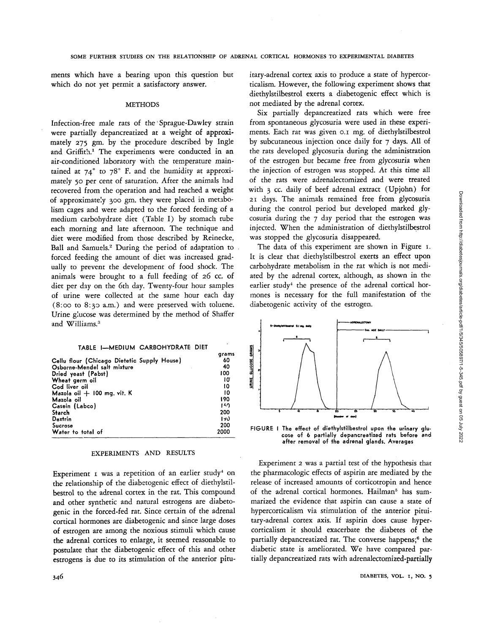Downloaded from http://diabetesjournals.org/diabetes/article-pdf/1/5/345/505897/1-5-345.pdf by guest on 05 July 2022 Downloaded from http://diabetesjournals.org/diabetes/article-pdf/1/5/345/505897/1-5-345.pdf by guest on 05 July 2022

ments which have a bearing upon this question but which do not yet permit a satisfactory answer.

### **METHODS**

Infection-free male rats of the Sprague-Dawley strain were partially depancreatized at a weight of approximately 275 gm. by the procedure described by Ingle and Griffith.<sup>1</sup> The experiments were conducted in an air-conditioned laboratory with the temperature maintained at  $74^\circ$  to  $78^\circ$  F. and the humidity at approximately 50 per cent of saturation. After the animals had recovered from the operation and had reached a weight of approximately 300 gm. they were placed in metabolism cages and were adapted to the forced feeding of a medium carbohydrate diet (Table I) by stomach tube each morning and late afternoon. The technique and diet were modified from those described by Reinecke, Ball and Samuels.2 During the period of adaptation to forced feeding the amount of diet was increased gradually to prevent the development of food shock. The animals were brought to a full feeding of 26 cc. of diet per day on the 6th day. Twenty-four hour samples of urine were collected at the same hour each day (8:00 to 8:30 a.m.) and were preserved with toluene. Urine glucose was determined by the method of Shaffer and Williams.<sup>3</sup>

#### **TABLE I—MEDIUM CARBOHYDRATE DIET**

|                                             | arams |
|---------------------------------------------|-------|
| Cellu flour (Chicago Dietetic Supply House) | 60    |
| Osborne-Mendel salt mixture                 | 40    |
| Dried yeast (Pabst)                         | 100   |
| Wheat germ oil                              | 10    |
| Cod liver oil                               | t0    |
| Mazola oil $+$ 100 mg. vit. K               | 10    |
| Mazola oil                                  | 190   |
| Casein (Labco)                              | 150   |
| Starch                                      | 200   |
| Dextrin                                     | 17)   |
| Sucrose                                     | 200   |
| Water to total of                           | 2000  |
|                                             |       |

# EXPERIMENTS AND RESULTS

Experiment 1 was a repetition of an earlier study<sup>4</sup> on the relationship of the diabetogenic effect of diethylstilbestrol to the adrenal cortex in the rat. This compound and other synthetic and natural estrogens are diabetogenic in the forced-fed rat. Since certain of the adrenal cortical hormones are diabetogenic and since large doses of estrogen are among the noxious stimuli which cause the adrenal cortices to enlarge, it seemed reasonable to postulate that the diabetogenic effect of this and other estrogens is due to its stimulation of the anterior pituitary-adrenal cortex axis to produce a state of hypercorticalism. However, the following experiment shows that diethylstilbestrol exerts a diabetogenic effect which is not mediated by the adrenal cortex.

Six partially depancreatized rats which were free from spontaneous glycosuria were used in these experiments. Each rat was given 0.1 mg. of diethylstilbestrol by subcutaneous injection once daily for 7 days. All of the rats developed glycosuria during the administration of the estrogen but became *free from glycosuria* when the injection of estrogen was stopped. At this time all of the rats were adrenalectomized and were treated with 3 cc. daily of beef adrenal extract (Upjohn) for 21 days. The animals remained free from glycosuria during the control period but developed marked glycosuria during the 7 day period that the estrogen was injected. When the administration of diethylstilbestrol was stopped the glycosuria disappeared.

The data of this experiment are shown in Figure 1. It is clear that diethylstilbestrol exerts an effect upon carbohydrate metabolism in the rat which is not mediated by the adrenal cortex, although, as shown in the earlier study<sup>4</sup> the presence of the adrenal cortical hormones is necessary for the full manifestation of the diabetogenic activity of the estrogen.



FIGURE I The effect of diethylstilbestrol upon the urinary glucose of 6 partially depancreatized rats before and after removal of the adrenal glands. Averages

Experiment 2 was a partial test of the hypothesis that the pharmacologic effects of aspirin are mediated by the release of increased amounts of corticotropin and hence of the adrenal cortical hormones. Hailman<sup>5</sup> has summarized the evidence that aspirin can cause a state of hypercorticalism via stimulation of the anterior pituitary-adrenal cortex axis. If aspirin does cause hypercorticalism it should exacerbate the diabetes of the partially depancreatized rat. The converse happens;<sup>6</sup> the diabetic state is ameliorated. We have compared partially depancreatized rats with adrenalectomized-partially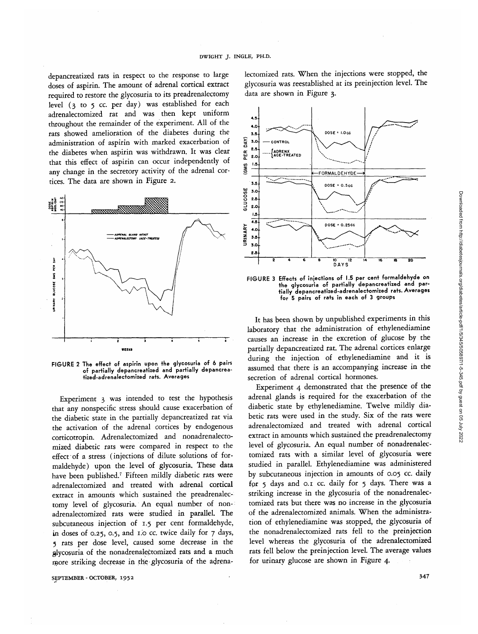depancreatized rats in respect to the response to large doses of aspirin. The amount of adrenal cortical extract required to restore the glycosuria to its preadrenalectomy level (3 to 5 cc. per day) was established for each adrenalectomized rat and was then kept uniform throughout the remainder of the experiment. All of the rats showed amelioration of the diabetes during the administration of aspirin with marked exacerbation of the diabetes when aspirin was withdrawn. It was clear that this effect of aspirin can occur independently of any change in the secretory activity of the adrenal cortices. The data are shown in Figure 2.



**FIGURE 2 The effect of aspirin upon the glycosuria of 6 pairs of partially depancreatized and partially depancreatized-adrenalectomized rats. Averages**

Experiment 3 was intended to test the hypothesis that any nonspecific stress should cause exacerbation of the diabetic state in the partially depancreatized rat via the activation of the adrenal cortices by endogenous corticotropin. Adrenalectomized and nonadrenalectomized diabetic rats were compared in respect to the effect of a stress (injections of dilute solutions of formaldehyde) upon the level of glycosuria. These data have been published.7 Fifteen mildly diabetic rats were adrenalectomized and treated with adrenal cortical extract in amounts which sustained the preadrenalectomy level of glycosuria. An equal number of nonadrenalectomized rats were studied in parallel. The subcutaneous injection of 1.5 per cent formaldehyde, in doses of 0.25, 0.5, and 1.0 *cc.* twice daily for 7 days, 5 rats per dose level, caused some decrease in the glycosuria of the nonadrenalectomized rats and a much more striking decrease in the glycosuria of the adrena-

SEPTEMBER - OCTOBER, 1952 **347**

lectomized rats. When the injections were stopped, the glycosuria was reestablished at its preinjection level. The data are shown in Figure 3.



**FIGURE 3 Effects of injections of 1.5 per cent formaldehyde on the glycosuria of partially depancreatized and partially depancreatized-adrenalectomized rats. Averages for 5 pairs of rats in each of 3 groups**

It has been shown by unpublished experiments in this laboratory that the administration of ethylenediamine causes an increase in the excretion of glucose by the partially depancreatized rat. The adrenal cortices enlarge during the injection of ethylenediamine and it is assumed that there is an accompanying increase in the secretion of adrenal cortical hormones.

Experiment 4 demonstrated that the presence of the adrenal glands is required for the exacerbation of the diabetic state by ethylenediamine. Twelve mildly diabetic rats were used in the study. Six of the rats were adrenalectomized and treated with adrenal cortical extract in amounts which sustained the preadrenalectomy level of glycosuria. An equal number of nonadrenalectomized rats with a similar level of glycosuria were studied in parallel. Ethylenediamine was administered by subcutaneous injection in amounts of 0.05 cc. daily for 5 days and 0.1 cc. daily for 5 days. There was a striking increase in the glycosuria of the nonadrenalectomized rats but there was no increase in the glycosuria of the adrenalectomized animals. When the administration of ethylenediamine was stopped, the glycosuria of the nonadrenalectomized rats fell to the preinjection level whereas the glycosuria of the adrenalectomized rats fell below the preinjection level. The average values for urinary glucose are shown in Figure 4.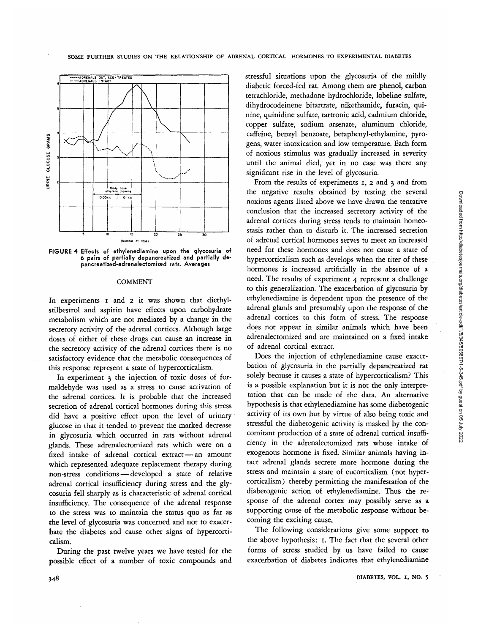

**FIGURE 4 Effects of ethylenediamine upon the glycosuria of 6 pairs of partially depancreatized and partially depancreatized-adrenalectomized rats. Averages**

#### **COMMENT**

In experiments i and 2 it was shown that diethylstilbestrol and aspirin have effects upon carbohydrate metabolism which are not mediated by a change in the secretory activity of the adrenal cortices. Although large doses of either of these drugs can cause an increase in the secretory activity of the adrenal cortices there is no satisfactory evidence that the metabolic consequences of this response represent a state of hypercorticalism.

In experiment 3 the injection of toxic doses of formaldehyde was used as a stress to cause activation of the adrenal cortices. It is probable that the increased secretion of adrenal cortical hormones during this stress did have a positive effect upon the level of urinary glucose in that it tended to prevent the marked decrease in glycosuria which occurred in rats without adrenal glands. These adrenalectomized rats which were on a fixed intake of adrenal cortical extract — an amount which represented adequate replacement therapy during non-stress conditions — developed a state of relative adrenal cortical insufficiency during stress and the glycosuria fell sharply as is characteristic of adrenal cortical insufficiency. The consequence of the adrenal response to the stress was to maintain the status quo as far as the level of glycosuria was concerned and not to exacerbate the diabetes and cause other signs of hypercorticalism.

During the past twelve years we have tested for the possible effect of a number of toxic compounds and stressful situations upon the glycosuria of the mildly diabetic forced-fed rat. Among them are phenol, carbon tetrachloride, methadone hydrochloride, lobeline sulfate, dihydrocodeinene bitartrate, nikethamide, furacin, quinine, quinidine sulfate, tartronic acid, cadmium chloride, copper sulfate, sodium arsenate, aluminum chloride, caffeine, benzyl benzoate, betaphenyl-ethylamine, pyrogens, water intoxication and low temperature. Each form of noxious stimulus was gradually increased in severity until the animal died, yet in no case was there any significant rise in the level of glycosuria.

From the results of experiments  $x$ ,  $z$  and  $z$  and from the negative results obtained by testing the several noxious agents listed above we have drawn the tentative conclusion that the increased secretory activity of the adrenal cortices during stress tends to maintain homeostasis rather than to disturb it. The increased secretion of adrenal cortical hormones serves to meet an increased need for these hormones and does not cause a state of hypercorticalism such as develops when the titer of these hormones is increased artificially in the absence of a need. The results of experiment 4 represent a challenge to this generalization. The exacerbation of glycosuria by ethylenediamine is dependent upon the presence of the adrenal glands and presumably upon the response of the adrenal cortices to this form of stress. The response does not appear in similar animals which have been adrenalectomized and are maintained on a fixed intake of adrenal cortical extract.

Does the injection of ethylenediamine cause exacerbation of glycosuria in the partially depancreatized rat solely because it causes a state of hypercorticalism? This is a possible explanation but it is not the only interpretation that can be made of the data. An alternative hypothesis is that ethylenediamine has some diabetogenic activity of its own but by virtue of also being toxic and stressful the diabetogenic activity is masked by the concomitant production of a state of adrenal cortical insufficiency in the adrenalectomized rats whose intake of exogenous hormone is fixed. Similar animals having intact adrenal glands secrete more hormone during the stress and maintain a state of eucorticalism (not hypercorticalism) thereby permitting the manifestation of the diabetogenic action of ethylenediamine. Thus the response of the adrenal cortex may possibly serve as a supporting cause of the metabolic response without becoming the exciting cause.

The following considerations give some support to the above hypothesis: 1. The fact that the several other forms of stress studied by us have failed to cause exacerbation of diabetes indicates that ethylenediamine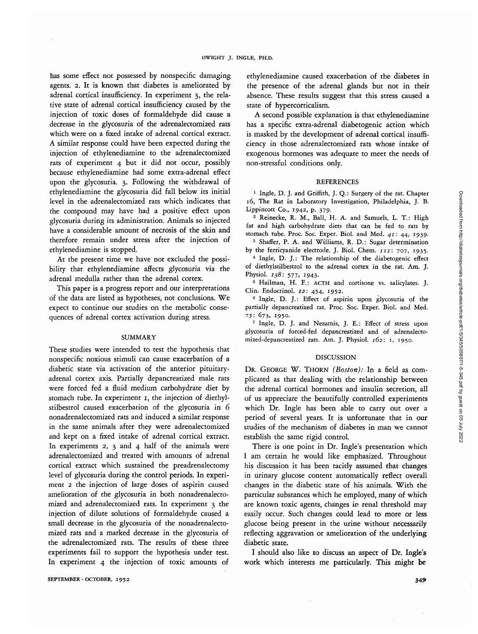has some effect not possessed by nonspecific damaging agents. 2. It is known that diabetes is ameliorated by adrenal cortical insufficiency. In experiment 3, the relative state of adrenal cortical insufficiency caused by the injection of toxic doses of formaldehyde did cause a decrease in the glycosuria of the adrenalectomized rats which were on a fixed intake of adrenal cortical extract. A similar response could have been expected during the injection of ethylenediamine to the adrenalectomized rats of experiment 4 but it did not occur, possibly because ethylenediamine had some extra-adrenal effect upon the glycosuria. 3. Following the withdrawal of ethylenediamine the glycosuria did fall below its initial level in the adrenalectomized rats which indicates that the compound may have had a positive effect upon glycosuria during its administration. Animals so injected have a considerable amount of necrosis of the skin and therefore remain under stress after the injection of ethylenediamine is stopped.

At the present time we have not excluded the possibility that ethylenediamine affects glycosuria via the adrenal medulla rather than the adrenal cortex.

This paper is a progress report and our interpretations of the data are listed as hypotheses, not conclusions. We expect to continue our studies on the metabolic consequences of adrenal cortex activation during stress.

## SUMMARY

These studies were intended to test the hypothesis that nonspecific noxious stimuli can cause exacerbation of a diabetic state via activation of the anterior pituitaryadrenal cortex axis. Partially depancreatized male rats were forced fed a fluid medium carbohydrate diet by stomach tube. In experiment 1, the injection of diethylstilbestrol caused exacerbation of the glycosuria in 6 nonadrenalectomized rats and induced a similar response in the same animals after they were adrenalectomized and kept on a fixed intake of adrenal cortical extract. In experiments  $2$ ,  $3$  and  $4$  half of the animals were adrenalectomized and treated with amounts of adrenal cortical extract which sustained the preadrenalectomy level of glycosuria during the control periods. In experiment 2 the injection of large doses of aspirin caused amelioration of the glycosuria in both nonadrenalectomized and adrenalectomized rats. In experiment 3 the injection of dilute solutions of formaldehyde caused a small decrease in the glycosuria of the nonadrenalectomized rats and a marked decrease in the glycosuria of the adrenalectomized rats. The results of these three experiments fail to support the hypothesis under test. In experiment 4 the injection of toxic amounts of

ethylenediamine caused exacerbation of the diabetes in the presence of the adrenal glands but not in their absence. These results suggest that this stress caused a state of hypercorticalism.

A second possible explanation is that ethylenediamine has a specific extra-adrenal diabetogenic action which is masked by the development of adrenal cortical insufficiency in those adrenalectomized rats whose intake of exogenous hormones was adequate to meet the needs of non-stressful conditions only.

### REFERENCES

<sup>1</sup> Ingle, D. J. and Griffith, J. Q.: Surgery of the rat. Chapter 16, The Rat in Laboratory Investigation, Philadelphia, J. B. Lippincott Co., 1942, p. 379. <sup>2</sup>

<sup>2</sup> Reinecke, R. M., Ball, H. A. and Samuels, L. T.: High fat and high carbohydrate diets that can be fed to rats by stomach tube. Proc. Soc. Exper. Biol. and Med. 41: 44, 1939.

<sup>3</sup> Shaffer, P. A. and Williams, R. D.: Sugar determination by the ferricyanide electrode. J. Biol. Chem. *in:* 707, 1935. <sup>4</sup> <sup>4</sup> Ingle, D. J.: The relationship of the diabetogenic effect

of diethylstilbestrol to the adrenal cortex in the rat. Am. J. Physiol. 138: 577, 1943.

<sup>5</sup> Hailman, H. F.: ACTH and cortisone vs. salicylates. J. Clin. Endocrinol. *12:* 454, 1952. <sup>6</sup>

<sup>6</sup> Ingle, D. J.: Effect of aspirin upon glycosuria of the partially depancreatized rat. Proc. Soc. Exper. Biol. and Med. 75: 673, 1950. <sup>7</sup>

<sup>7</sup> Ingle, D. J. and Nezamis, J. E.: Effect of stress upon glycosuria of forced-fed depancreatized and of adrenalectomized-depancreatized rats. Am. J. Physiol. *162:* 1, 1950.

# DISCUSSION

DR. GEORGE W. THORN *(Boston):* In a field as complicated as that dealing with the relationship between the adrenal cortical hormones and insulin secretion, all of us appreciate the beautifully controlled experiments which Dr. Ingle has been able to carry out over a period of several years. It is unfortunate that in our studies of the mechanism of diabetes in man we cannot establish the same rigid control.

There is one point in Dr. Ingle's presentation which I am certain he would like emphasized. Throughout his discussion it has been tacitly assumed that changes in urinary glucose content automatically reflect overall changes in the diabetic state of his animals. With the particular substances which he employed, many of which are known toxic agents, changes in renal threshold may easily occur. Such changes could lead to more or less glucose being present in the urine without necessarily reflecting aggravation or amelioration of the underlying diabetic state.

I should also like to discuss an aspect of Dr. Ingle's work which interests me particularly. This might be